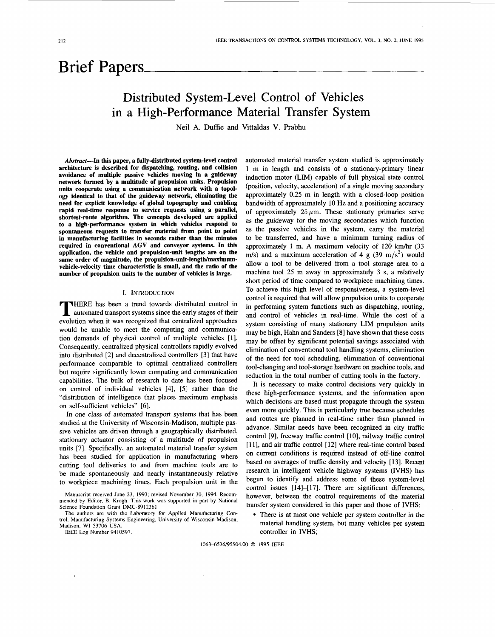# **Brief Papers**

# Distributed System-Level Control of Vehicles in a High-Performance Material Transfer System

Neil **A. Duffie and** Vittaldas V. Prabhu

Abstract-In this paper, a fully-distributed system-level control architecture is described for dispatching, routing, and collision avoidance of multiple passive vehicles moving in a guideway network formed by a multitude of propulsion **units.** Propulsion units cooperate using a communication network with a topology identical to that of the guideway network, eliminating the need for explicit knowledge of global topography and enabling rapid real-time response to service requests using a parallel, shortest-route algorithm. The concepts developed are applied to a high-performance system in which vehicles respond to spontaneous requests to transfer material from point to point in manufacturing facilities in seconds rather than the minutes required in conventional AGV and conveyor systems. In this same order of magnitude, the propulsion-unit-length/maximumvehicle-velocity time characteristic is small, and the ratio of the number of propulsion units to the number of vehicles **is** large.

#### **I.** INTRODUCTION

**HERE** has been a trend towards distributed control in Theorem at transport systems since the early stages of their evolution when it was recognized that centralized approaches would be unable to meet the computing and communication demands of physical control of multiple vehicles [l]. Consequently, centralized physical controllers rapidly evolved into distributed [2] and decentralized controllers [3] that have performance comparable to optimal centralized controllers but require significantly lower computing and communication capabilities. The bulk of research to date has been focused on control of individual vehicles [4], *[5]* rather than the "distribution of intelligence that places maximum emphasis on self-sufficient vehicles" **[6].** 

In one class of automated transport systems that has been studied at the University of Wisconsin-Madison, multiple passive vehicles are driven through a geographically distributed, stationary actuator consisting of a multitude of propulsion units [7]. Specifically, an automated material transfer system has been studied for application in manufacturing where cutting tool deliveries to and from machine tools are to be made spontaneously and nearly instantaneously relative to workpiece machining times. Each propulsion unit in the automated material transfer system studied is approximately 1 m in length and consists of a stationary-primary linear induction motor (LIM) capable of full physical state control (position, velocity, acceleration) of a single moving secondary approximately 0.25 m in length with a closed-loop position bandwidth of approximately 10 Hz and a positioning accuracy of approximately  $25 \mu m$ . These stationary primaries serve as the guideway for the moving secondaries which function as the passive vehicles in the system, carry the material to be transferred, and have a minimum turning radius of approximately 1 m. A maximum velocity of 120 km/hr (33  $m/s$ ) and a maximum acceleration of 4 **g** (39 m/s<sup>2</sup>) would allow a tool to be delivered from a tool storage area to a machine tool 25 m away in approximately 3 **s,** a relatively short period of time compared to workpiece machining times. To achieve this high level of responsiveness, a system-level control is required that will allow propulsion units to cooperate in performing system functions such as dispatching, routing, and control of vehicles in real-time. While the cost of a system consisting of many stationary LIM propulsion units may be high, Hahn and Sanders [8] have shown that these costs may be offset by significant potential savings associated with elimination of conventional tool handling systems, elimination of the need for tool scheduling, elimination of conventional tool-changing and tool-storage hardware on machine tools, and reduction in the total number of cutting tools in the factory.

It is necessary to make control decisions very quickly in these high-performance systems, and the information upon which decisions are based must propagate through the system even more quickly. This is particularly true because schedules and routes are planned in real-time rather than planned in advance. Similar needs have been recognized in city traffic control [9], freeway traffic control [10], railway traffic control [11], and air traffic control [12] where real-time control based on current conditions is required instead of off-line control based on averages of traffic density and velocity [13]. Recent research in intelligent vehicle highway systems (IVHS) has begun to identify and address some of these system-level control issues [14]-[17]. There are significant differences, however, between the control requirements of the material transfer system considered in this paper and those of IVHS:

There is at most one vehicle per system controller in the material handling system, but many vehicles per system controller in IVHS;

1063-6536/95\$04.00 *0* 1995 IEEE

Manuscript received June 23, 1993; revised November 30, 1994. Recommended by Editor, **B.** Krogh. This work was supported in part by National Science Foundation Grant DMC-8912361.

The authors **are** with the Laboratory for Applied Manufacturing Control, Manufacturing Systems Engineering, University of Wisconsin-Madison, Madison, WI 53706 **USA.** 

IEEE **Log** Number 9410597.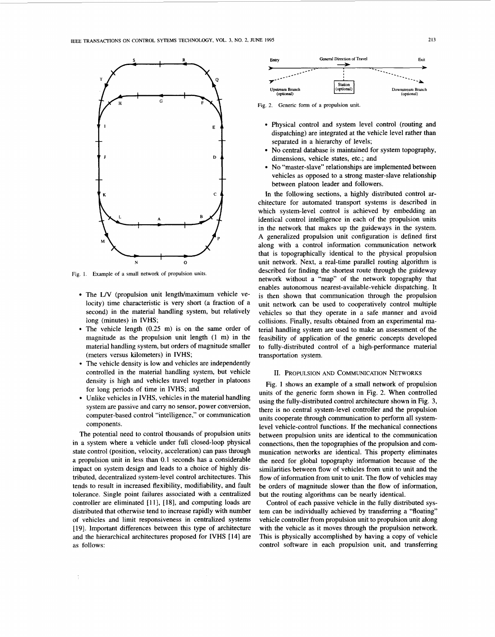

Fig. I. **Example** of **a small network of propulsion units** 

- The L/V (propulsion unit length/maximum vehicle velocity) time characteristic is very short (a fraction of a second) in the material handling system, but relatively long (minutes) in **IVHS;**
- The vehicle length (0.25 m) is on the same order of magnitude as the propulsion unit length (1 m) in the material handling system, but orders of magnitude smaller (meters versus kilometers) in **IVHS;**
- The vehicle density is low and vehicles are independently controlled in the material handling system, but vehicle density is high and vehicles travel together in platoons for long periods of time in IVHS; and
- Unlike vehicles in IVHS, vehicles in the material handling system are passive and cany no sensor, power conversion, computer-based control "intelligence," or communication components.

The potential need to control thousands of propulsion units in a system where a vehicle under full closed-loop physical state control (position, velocity, acceleration) can pass through a propulsion unit in less than 0.1 seconds has a considerable impact on system design and leads to a choice of highly distributed, decentralized system-level control architectures. This tends to result in increased flexibility, modifiability, and fault tolerance. Single point failures associated with a centralized controller are eliminated [ **111,** [ 181, and computing loads are distributed that otherwise tend to increase rapidly with number of vehicles and limit responsiveness in centralized systems [19]. Important differences between this type of architecture and the hierarchical architectures proposed for **IVHS** [14] are as follows:



**Fig.** 2. **Generic** form **of a propulsion unit.** 

- Physical control and system level control (routing and dispatching) are integrated at the vehicle level rather than separated in a hierarchy of levels;
- No central database is maintained for system topography, dimensions, vehicle states, etc.; and
- No "master-slave'' relationships are implemented between vehicles as opposed to a strong master-slave relationship between platoon leader and followers.

In the following sections, a highly distributed control architecture for automated transport systems is described in which system-level control is achieved by embedding an identical control intelligence in each of the propulsion units in the network that makes up the guideways in the system. A generalized propulsion unit configuration is defined first along with a control information communication network that is topographically identical to the physical propulsion unit network. Next, a real-time parallel routing algorithm is described for finding the shortest route through the guideway network without a "map" of the network topography that enables autonomous nearest-available-vehicle dispatching. It is then shown that communication through the propulsion unit network can be used to cooperatively control multiple vehicles so that they operate in a safe manner and avoid collisions. Finally, results obtained from an experimental material handling system are used to make an assessment of the feasibility of application of the generic concepts developed to fully-distributed control of a high-performance material transportation system.

# **11.** PROPULSION AND COMMUNICATION NETWORKS

Fig. 1 shows an example of a small network of propulsion units of the generic form shown in Fig. 2. When controlled using the fully-distributed control architecture shown in Fig. 3, there is no central system-level controller and the propulsion units cooperate through communication to perform all systemlevel vehicle-control functions. If the mechanical connections between propulsion units are identical to the communication connections, then the topographies of the propulsion and communication networks are identical. This property eliminates the need for global topography information because of the similarities between flow of vehicles from unit to unit and the flow of information from unit to unit. The flow of vehicles may be orders of magnitude slower than the flow of information, but the routing algorithms can be nearly identical.

Control of each passive vehicle in the fully distributed system can be individually achieved by transferring a "floating" vehicle controller from propulsion unit to propulsion unit along with the vehicle as it moves through the propulsion network. This is physically accomplished by having a copy of vehicle control software in each propulsion unit, and transferring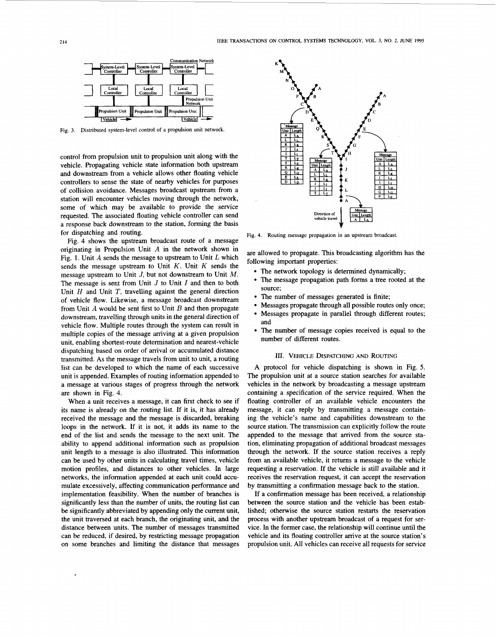<span id="page-2-0"></span>

**Fig. 3. Distributed system-level control** of **a propulsion unit network.** 

control from propulsion unit to propulsion unit along with the vehicle. Propagating vehicle state information both upstream and downstream from a vehicle allows other floating vehicle controllers to sense the state of nearby vehicles for purposes of collision avoidance. Messages broadcast upstream from a station will encounter vehicles moving through the network, some of which may be available to provide the service requested. The associated floating vehicle controller can send a response back downstream to the station, forming the basis for dispatching and routing.

Fig. **4** shows the upstream broadcast route of a message originating in Propulsion Unit A in the network shown in Fig. 1. Unit  $A$  sends the message to upstream to Unit  $L$  which sends the message upstream to Unit  $K$ . Unit  $K$  sends the message upstream to Unit *J,* but not downstream to Unit M. The message is sent from Unit *J* to Unit I and then to both Unit  $H$  and Unit  $T$ , travelling against the general direction of vehicle flow. Likewise, a message broadcast downstream from Unit A would be sent first to Unit *B* and then propagate downstream, travelling through units in the general direction of vehicle flow. Multiple routes through the system can result in multiple copies of the message arriving at a given propulsion unit, enabling shortest-route determination and nearest-vehicle dispatching based on order of arrival or accumulated distance transmitted. As the message travels from unit to unit, a routing list can be developed to which the name of each successive unit is appended. Examples of routing information appended to a message at various stages of progress through the network are shown in Fig. 4.

When a unit receives a message, it can first check to see if its name is already on the routing list. If it is, it has already received the message and the message is discarded, breaking loops in the network. If it is not, it adds its name to the end of the list and sends the message to the next unit. The ability to append additional information such as propulsion unit length to a message is also illustrated. This information can be used by other units in calculating travel times, vehicle motion profiles, and distances to other vehicles. In large networks, the information appended at each unit could accumulate excessively, affecting communication performance and implementation feasibility. When the number of branches is significantly less than the number of units, the routing list can be significantly abbreviated by appending only the current unit, the unit traversed at each branch, the originating unit, and the distance between units. The number of messages transmitted can be reduced, if desired, by restricting message propagation on some branches and limiting the distance that messages



**Fig. 4. Routing message propagation in an upstream broadcast.** 

are allowed to propagate. This broadcasting algorithm has the following important properties:

- The network topology is determined dynamically;
- The message propagation path forms a tree rooted at the source;
- The number of messages generated is finite;
- Messages propagate through all possible routes only once;
- Messages propagate in parallel through different routes; and
- $\bullet$ The number of message copies received is equal to the number of different routes.

#### **111. VEHICLE DISPATCHING AND ROUTING**

A protocol for vehicle dispatching is shown in [Fig. 5.](#page-3-0) The propulsion unit at a source station searches for available vehicles in the network by broadcasting a message upstream containing a specification of the service required. When the floating controller of an available vehicle encounters the message, it can reply by transmitting a message containing the vehicle's name and capabilities downstream to the source station. The transmission can explicitly follow the route appended to the message that arrived from the source station, eliminating propagation of additional broadcast messages through the network. If the source station receives a reply from an available vehicle, it returns a message to the vehicle requesting a reservation. If the vehicle is still available and it receives the reservation request, it can accept the reservation by transmitting a confirmation message back to the station.

If a confirmation message has been received, a relationship between the source station and the vehicle has been established; otherwise the source station restarts the reservation process with another upstream broadcast of a request for service. In the former case, the relationship will continue until the vehicle and its floating controller arrive at the source station's propulsion unit. All vehicles can receive all requests for service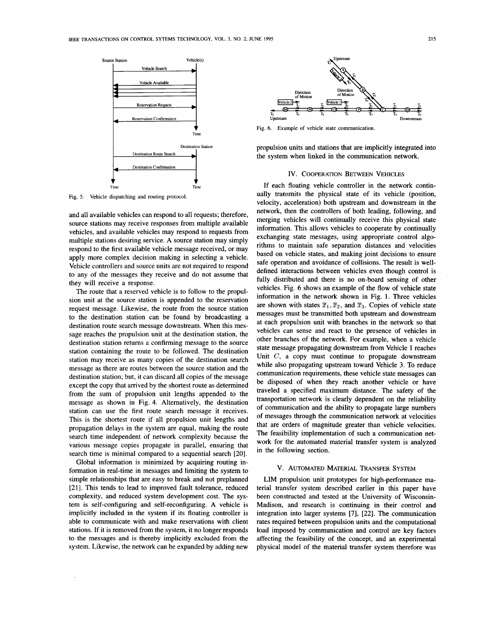<span id="page-3-0"></span>

**Fig. 5. Vehicle dispatching and routing protocol.** 

and all available vehicles can respond to all requests; therefore, source stations may receive responses from multiple available vehicles, and available vehicles may respond to requests from multiple stations desiring service. A source station may simply respond to the first available vehicle message received, or may apply more complex decision making in selecting a vehicle. Vehicle controllers and source units are not required to respond to any of the messages they receive and do not assume that they will receive a response.

The route that a reserved vehicle is to follow to the propulsion unit at the source station is appended to the reservation request message. Likewise, the route from the source station to the destination station can be found by broadcasting a destination route search message downstream. When this message reaches the propulsion unit at the destination station, the destination station returns a confirming message to the source station containing the route to be followed. The destination station may receive as many copies of the destination search message as there are routes between the source station and the destination station; but, it can discard all copies of the message except the copy that arrived by the shortest route as determined from the sum of propulsion unit lengths appended to the message as shown in [Fig.](#page-2-0) **4.** Altematively, the destination station can use the first route search message it receives. This is the shortest route if all propulsion unit lengths and propagation delays in the system are equal, making the route search time independent of network complexity because the various message copies propagate in parallel, ensuring that search time is minimal compared to a sequential search [20].

Global information is minimized by acquiring routing information in real-time in messages and limiting the system to simple relationships that are easy to break and not preplanned [21]. This tends to lead to improved fault tolerance, reduced complexity, and reduced system development cost. The system is self-configuring and self-reconfiguring. A vehicle is implicitly included in the system if its floating controller is able to communicate with and make reservations with client stations. If it is removed from the system, it no longer responds to the messages and is thereby implicitly excluded from the system. Likewise, the network can be expanded by adding new



**Fig. 6. Example** of **vehicle state communication.** 

propulsion units and stations that are implicitly integrated into the system when linked in the communication network.

#### IV. **COOPERATION BETWEEN** VEHICLES

If each floating vehicle controller in the network continually transmits the physical state of its vehicle (position, velocity, acceleration) both upstream and downstream in the network, then the controllers of both leading, following, and merging vehicles will continually receive this physical state information. This allows vehicles to cooperate by continually exchanging state messages, using appropriate control algorithms to maintain safe separation distances and velocities based on vehicle states, and making joint decisions to ensure safe operation and avoidance of collisions. The result is welldefined interactions between vehicles even though control is fully distributed and there is no on-board sensing of other vehicles. Fig. 6 shows an example of the flow of vehicle state information in the network shown in Fig. **1.** Three vehicles are shown with states  $\overline{x}_1, \overline{x}_2$ , and  $\overline{x}_3$ . Copies of vehicle state messages must be transmitted both upstream and downstream at each propulsion unit with branches in the network so that vehicles can sense and react to the presence of vehicles in other branches of the network. For example, when a vehicle state message propagating downstream from Vehicle **1** reaches Unit *C*, a copy must continue to propagate downstream while also propagating upstream toward Vehicle 3. To reduce communication requirements, these vehicle state messages can be disposed of when they reach another vehicle or have traveled a specified maximum distance. The safety of the transportation network is clearly dependent on the reliability of communication and the ability to propagate large numbers of messages through the communication network at velocities that are orders of magnitude greater than vehicle velocities. The feasibility implementation of such a communication network for the automated material transfer system is analyzed in the following section.

#### V. AUTOMATED **MATERIAL TRANSFER SYSTEM**

LIM propulsion unit prototypes for high-performance material transfer system described earlier in this paper have been constructed and tested at the University of Wisconsin-Madison, and research is continuing in their control and integration into larger systems [7], *[22].* The communication rates required between propulsion units and the computational load imposed by communication and control are key factors affecting the feasibility of the concept, and an experimental physical model of the material transfer system therefore was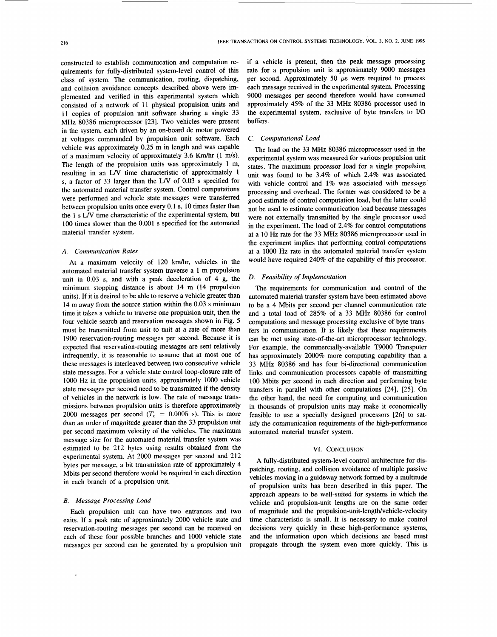constructed to establish communication and computation requirements for fully-distributed system-level control of this class of system. The communication, routing, dispatching, and collision avoidance concepts described above were implemented and verified in this experimental system which consisted of a network of 11 physical propulsion units and 11 copies of propulsion unit software sharing a single 33 MHz 80386 microprocessor [23]. Two vehicles were present in the system, each driven by an on-board dc motor powered at voltages commanded by propulsion unit software. Each vehicle was approximately 0.25 m in length and was capable of a maximum velocity of approximately 3.6 Km/hr (1 m/s). The length of the propulsion units was approximately 1 m, resulting in an LN time characteristic of approximately 1 **s,** a factor of 33 larger than the LN of 0.03 s specified for the automated material transfer system. Control computations were performed and vehicle state messages were transferred between propulsion units once every 0.1 **s,** 10 times faster than the 1 s LN time characteristic of the experimental system, but 100 times slower than the 0.001 s specified for the automated material transfer system.

## *A. Communication Rates*

At a maximum velocity of 120 km/hr, vehicles in the automated material transfer system traverse a 1 m propulsion unit in 0.03 **s,** and with a peak deceleration of **4** g, the minimum stopping distance is about 14 m (14 propulsion units). If it is desired to be able to reserve a vehicle greater than 14 m away from the source station within the 0.03 **s** minimum time it takes a vehicle to traverse one propulsion unit, then the four vehicle search and reservation messages shown in [Fig. 5](#page-3-0) must be transmitted from unit to unit at a rate of more than 1900 reservation-routing messages per second. Because it is expected that reservation-routing messages are sent relatively infrequently, it is reasonable to assume that at most one of these messages is interleaved between two consecutive vehicle state messages. For a vehicle state control loop-closure rate of 1000 Hz in the propulsion units, approximately 1000 vehicle state messages per second need to be transmitted if the density of vehicles in the network is low. The rate of message transmissions between propulsion units is therefore approximately 2000 messages per second  $(T_c = 0.0005 \text{ s})$ . This is more than an order of magnitude greater than the 33 propulsion unit per second maximum velocity of the vehicles. The maximum message size for the automated material transfer system was estimated to be 212 bytes using results obtained from the experimental system. At 2000 messages per second and 212 bytes per message, a bit transmission rate of approximately 4 Mbits per second therefore would be required in each direction in each branch of a propulsion unit.

#### **B.** Message Processing Load

 $\ddot{\phantom{0}}$ 

Each propulsion unit can have two entrances and two exits. If a peak rate of approximately 2000 vehicle state and reservation-routing messages **per** second can be received on each of these four possible branches and 1000 vehicle state messages per second can be generated by a propulsion unit

if a vehicle is present, then the peak message processing rate for a propulsion unit is approximately 9000 messages per second. Approximately 50  $\mu$ s were required to process each message received in the experimental system. Processing 9000 messages **per** second therefore would have consumed approximately 45% of the 33 MHz 80386 processor used in the experimental system, exclusive of byte transfers to *VO*  buffers.

#### *C. Computational Load*

The load on the 33 MHz 80386 microprocessor used in the experimental system was measured for various propulsion unit states. The maximum processor load for a single propulsion unit was found to be 3.4% of which 2.4% was associated with vehicle control and 1% was associated with message processing and overhead. The former was considered to be a good estimate of control computation load, but the latter could not be used to estimate communication load because messages were not externally transmitted by the single processor used in the experiment. The load of 2.4% for control computations at a 10 Hz rate for the 33 MHz 80386 microprocessor used in the experiment implies that performing control computations at a lo00 Hz rate in the automated material transfer system would have required 240% of the capability of this processor.

## *D. Feasibility* of *Implementation*

The requirements for communication and control of the automated material transfer system have been estimated above to be a **4** Mbits per second per channel communication rate and a total load of 285% of a 33 MHz 80386 for control computations and message processing exclusive of byte transfers in communication. It is likely that these requirements can be met using state-of-the-art microprocessor technology. For example, the commercially-available T9000 Transputer has approximately 2000% more computing capability than a 33 MHz 80386 and has four bi-directional communication links and communication processors capable of transmitting 100 Mbits per second in each direction and performing byte transfers in parallel with other computations [24], [25]. On the other hand, the need for computing and communication in thousands of propulsion units may make it economically feasible to use a specially designed processors [26] to satisfy the communication requirements of the high-performance automated material transfer system.

#### **VI. CONCLUSION**

A fully-distributed system-level control architecture for dispatching, routing, and collision avoidance of multiple passive vehicles moving in a guideway network formed by a multitude of propulsion units has been described in this paper. The approach appears to be well-suited for systems in which the vehicle and propulsion-unit lengths are on the same order of magnitude and the **propulsion-unit-lengthlvehicle-velocity**  time characteristic is small. It is necessary to make control decisions very quickly in these high-performance systems, and the information upon which decisions are based must propagate through the system even more quickly. This is